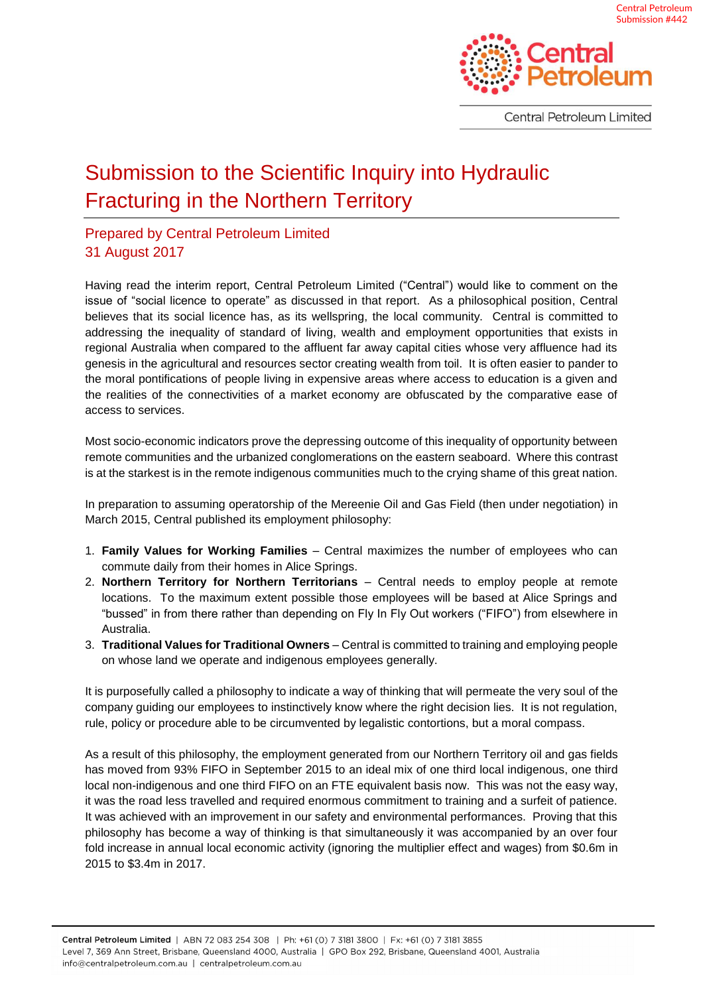

Central Petroleum Limited

## Submission to the Scientific Inquiry into Hydraulic Fracturing in the Northern Territory

## Prepared by Central Petroleum Limited 31 August 2017

Having read the interim report, Central Petroleum Limited ("Central") would like to comment on the issue of "social licence to operate" as discussed in that report. As a philosophical position, Central believes that its social licence has, as its wellspring, the local community. Central is committed to addressing the inequality of standard of living, wealth and employment opportunities that exists in regional Australia when compared to the affluent far away capital cities whose very affluence had its genesis in the agricultural and resources sector creating wealth from toil. It is often easier to pander to the moral pontifications of people living in expensive areas where access to education is a given and the realities of the connectivities of a market economy are obfuscated by the comparative ease of access to services.

Most socio-economic indicators prove the depressing outcome of this inequality of opportunity between remote communities and the urbanized conglomerations on the eastern seaboard. Where this contrast is at the starkest is in the remote indigenous communities much to the crying shame of this great nation.

In preparation to assuming operatorship of the Mereenie Oil and Gas Field (then under negotiation) in March 2015, Central published its employment philosophy:

- 1. **Family Values for Working Families** Central maximizes the number of employees who can commute daily from their homes in Alice Springs.
- 2. **Northern Territory for Northern Territorians** Central needs to employ people at remote locations. To the maximum extent possible those employees will be based at Alice Springs and "bussed" in from there rather than depending on Fly In Fly Out workers ("FIFO") from elsewhere in Australia.
- 3. **Traditional Values for Traditional Owners** Central is committed to training and employing people on whose land we operate and indigenous employees generally.

It is purposefully called a philosophy to indicate a way of thinking that will permeate the very soul of the company guiding our employees to instinctively know where the right decision lies. It is not regulation, rule, policy or procedure able to be circumvented by legalistic contortions, but a moral compass.

As a result of this philosophy, the employment generated from our Northern Territory oil and gas fields has moved from 93% FIFO in September 2015 to an ideal mix of one third local indigenous, one third local non-indigenous and one third FIFO on an FTE equivalent basis now. This was not the easy way, it was the road less travelled and required enormous commitment to training and a surfeit of patience. It was achieved with an improvement in our safety and environmental performances. Proving that this philosophy has become a way of thinking is that simultaneously it was accompanied by an over four fold increase in annual local economic activity (ignoring the multiplier effect and wages) from \$0.6m in 2015 to \$3.4m in 2017.